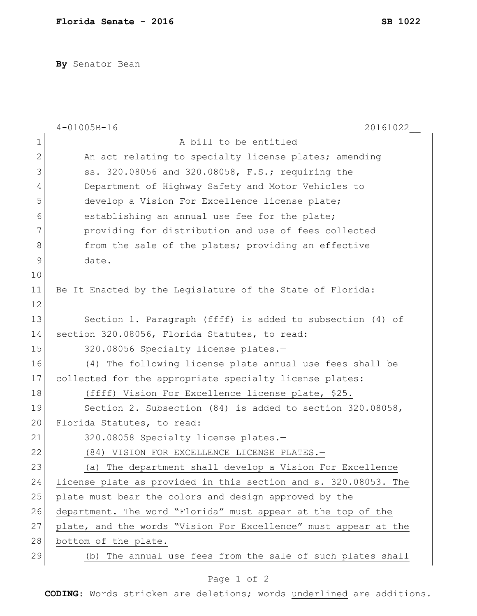**By** Senator Bean

|              | $4 - 01005B - 16$<br>20161022                                   |
|--------------|-----------------------------------------------------------------|
| 1            | A bill to be entitled                                           |
| $\mathbf{2}$ | An act relating to specialty license plates; amending           |
| 3            | ss. 320.08056 and 320.08058, F.S.; requiring the                |
| 4            | Department of Highway Safety and Motor Vehicles to              |
| 5            | develop a Vision For Excellence license plate;                  |
| 6            | establishing an annual use fee for the plate;                   |
| 7            | providing for distribution and use of fees collected            |
| 8            | from the sale of the plates; providing an effective             |
| 9            | date.                                                           |
| 10           |                                                                 |
| 11           | Be It Enacted by the Legislature of the State of Florida:       |
| 12           |                                                                 |
| 13           | Section 1. Paragraph (ffff) is added to subsection (4) of       |
| 14           | section 320.08056, Florida Statutes, to read:                   |
| 15           | 320.08056 Specialty license plates.-                            |
| 16           | (4) The following license plate annual use fees shall be        |
| 17           | collected for the appropriate specialty license plates:         |
| 18           | (ffff) Vision For Excellence license plate, \$25.               |
| 19           | Section 2. Subsection (84) is added to section 320.08058,       |
| 20           | Florida Statutes, to read:                                      |
| 21           | 320.08058 Specialty license plates.-                            |
| 22           | (84) VISION FOR EXCELLENCE LICENSE PLATES.-                     |
| 23           | (a) The department shall develop a Vision For Excellence        |
| 24           | license plate as provided in this section and s. 320.08053. The |
| 25           | plate must bear the colors and design approved by the           |
| 26           | department. The word "Florida" must appear at the top of the    |
| 27           | plate, and the words "Vision For Excellence" must appear at the |
| 28           | bottom of the plate.                                            |
| 29           | (b) The annual use fees from the sale of such plates shall      |

## Page 1 of 2

**CODING**: Words stricken are deletions; words underlined are additions.